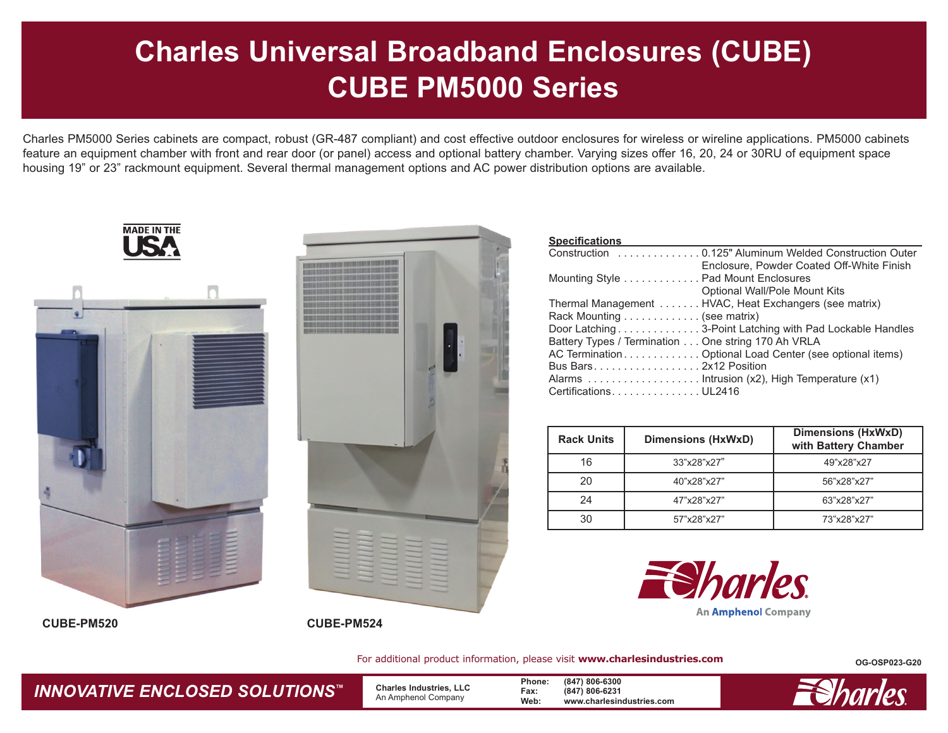# **Charles Universal Broadband Enclosures (CUBE) CUBE PM5000 Series**

Charles PM5000 Series cabinets are compact, robust (GR-487 compliant) and cost effective outdoor enclosures for wireless or wireline applications. PM5000 cabinets feature an equipment chamber with front and rear door (or panel) access and optional battery chamber. Varying sizes offer 16, 20, 24 or 30RU of equipment space housing 19" or 23" rackmount equipment. Several thermal management options and AC power distribution options are available.







| <b>Specifications</b> |
|-----------------------|
|-----------------------|

| <b>Rack Units</b> | <b>Dimensions (HxWxD)</b> | <b>Dimensions (HxWxD)</b><br>with Battery Chamber |
|-------------------|---------------------------|---------------------------------------------------|
| 16                | 33"x28"x27"               | 49"x28"x27                                        |
| 20                | 40"x28"x27"               | 56"x28"x27"                                       |
| 24                | 47"x28"x27"               | 63"x28"x27"                                       |
| 30                | 57"x28"x27"               | 73"x28"x27"                                       |



**CUBE-PM520 CUBE-PM524**

#### **OG-OSP023-G20** For additional product information, please visit **www.charlesindustries.com**



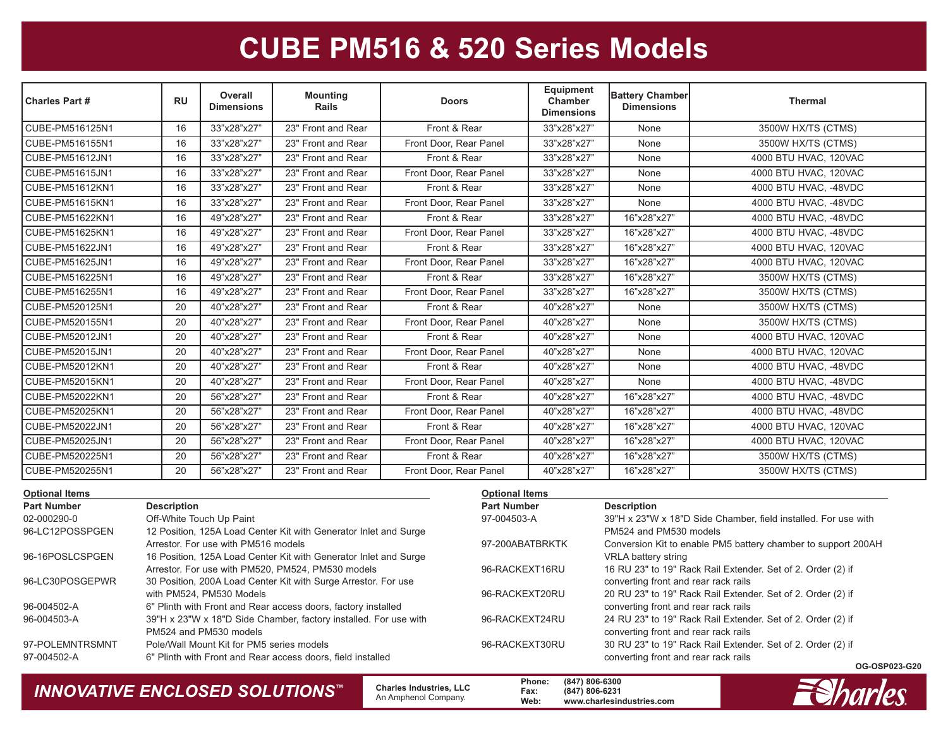## **CUBE PM516 & 520 Series Models**

| <b>Charles Part #</b> | <b>RU</b> | Overall<br><b>Dimensions</b> | <b>Mounting</b><br><b>Rails</b> | <b>Doors</b>           | Equipment<br>Chamber<br><b>Dimensions</b> | <b>Battery Chamber</b><br><b>Dimensions</b> | <b>Thermal</b>        |
|-----------------------|-----------|------------------------------|---------------------------------|------------------------|-------------------------------------------|---------------------------------------------|-----------------------|
| CUBE-PM516125N1       | 16        | 33"x28"x27"                  | 23" Front and Rear              | Front & Rear           | 33"x28"x27"                               | None                                        | 3500W HX/TS (CTMS)    |
| CUBE-PM516155N1       | 16        | 33"x28"x27"                  | 23" Front and Rear              | Front Door, Rear Panel | 33"x28"x27"                               | None                                        | 3500W HX/TS (CTMS)    |
| CUBE-PM51612JN1       | 16        | 33"x28"x27"                  | 23" Front and Rear              | Front & Rear           | 33"x28"x27"                               | None                                        | 4000 BTU HVAC, 120VAC |
| CUBE-PM51615JN1       | 16        | 33"x28"x27"                  | 23" Front and Rear              | Front Door, Rear Panel | 33"x28"x27"                               | None                                        | 4000 BTU HVAC, 120VAC |
| CUBE-PM51612KN1       | 16        | 33"x28"x27"                  | 23" Front and Rear              | Front & Rear           | 33"x28"x27"                               | None                                        | 4000 BTU HVAC, -48VDC |
| CUBE-PM51615KN1       | 16        | 33"x28"x27"                  | 23" Front and Rear              | Front Door, Rear Panel | 33"x28"x27"                               | None                                        | 4000 BTU HVAC, -48VDC |
| CUBE-PM51622KN1       | 16        | 49"x28"x27"                  | 23" Front and Rear              | Front & Rear           | 33"x28"x27"                               | 16"x28"x27"                                 | 4000 BTU HVAC, -48VDC |
| CUBE-PM51625KN1       | 16        | 49"x28"x27"                  | 23" Front and Rear              | Front Door, Rear Panel | 33"x28"x27"                               | 16"x28"x27"                                 | 4000 BTU HVAC. -48VDC |
| CUBE-PM51622JN1       | 16        | 49"x28"x27"                  | 23" Front and Rear              | Front & Rear           | 33"x28"x27"                               | 16"x28"x27"                                 | 4000 BTU HVAC, 120VAC |
| CUBE-PM51625JN1       | 16        | 49"x28"x27"                  | 23" Front and Rear              | Front Door, Rear Panel | 33"x28"x27"                               | 16"x28"x27"                                 | 4000 BTU HVAC, 120VAC |
| CUBE-PM516225N1       | 16        | 49"x28"x27"                  | 23" Front and Rear              | Front & Rear           | 33"x28"x27"                               | 16"x28"x27"                                 | 3500W HX/TS (CTMS)    |
| CUBE-PM516255N1       | 16        | 49"x28"x27"                  | 23" Front and Rear              | Front Door, Rear Panel | 33"x28"x27"                               | 16"x28"x27"                                 | 3500W HX/TS (CTMS)    |
| CUBE-PM520125N1       | 20        | 40"x28"x27"                  | 23" Front and Rear              | Front & Rear           | 40"x28"x27"                               | None                                        | 3500W HX/TS (CTMS)    |
| CUBE-PM520155N1       | 20        | 40"x28"x27"                  | 23" Front and Rear              | Front Door, Rear Panel | 40"x28"x27"                               | None                                        | 3500W HX/TS (CTMS)    |
| CUBE-PM52012JN1       | 20        | 40"x28"x27"                  | 23" Front and Rear              | Front & Rear           | 40"x28"x27"                               | None                                        | 4000 BTU HVAC, 120VAC |
| CUBE-PM52015JN1       | 20        | 40"x28"x27"                  | 23" Front and Rear              | Front Door, Rear Panel | 40"x28"x27"                               | None                                        | 4000 BTU HVAC, 120VAC |
| CUBE-PM52012KN1       | 20        | 40"x28"x27"                  | 23" Front and Rear              | Front & Rear           | 40"x28"x27"                               | None                                        | 4000 BTU HVAC, -48VDC |
| CUBE-PM52015KN1       | 20        | 40"x28"x27"                  | 23" Front and Rear              | Front Door, Rear Panel | 40"x28"x27"                               | None                                        | 4000 BTU HVAC, -48VDC |
| CUBE-PM52022KN1       | 20        | 56"x28"x27"                  | 23" Front and Rear              | Front & Rear           | 40"x28"x27"                               | 16"x28"x27"                                 | 4000 BTU HVAC, -48VDC |
| CUBE-PM52025KN1       | 20        | 56"x28"x27"                  | 23" Front and Rear              | Front Door, Rear Panel | 40"x28"x27"                               | 16"x28"x27"                                 | 4000 BTU HVAC, -48VDC |
| CUBE-PM52022JN1       | 20        | 56"x28"x27"                  | 23" Front and Rear              | Front & Rear           | 40"x28"x27"                               | 16"x28"x27"                                 | 4000 BTU HVAC, 120VAC |
| CUBE-PM52025JN1       | 20        | 56"x28"x27"                  | 23" Front and Rear              | Front Door, Rear Panel | 40"x28"x27"                               | 16"x28"x27"                                 | 4000 BTU HVAC, 120VAC |
| CUBE-PM520225N1       | 20        | 56"x28"x27"                  | 23" Front and Rear              | Front & Rear           | 40"x28"x27"                               | 16"x28"x27"                                 | 3500W HX/TS (CTMS)    |
| CUBE-PM520255N1       | 20        | 56"x28"x27"                  | 23" Front and Rear              | Front Door, Rear Panel | 40"x28"x27"                               | 16"x28"x27"                                 | 3500W HX/TS (CTMS)    |

| <b>Optional Items</b> |                                                                  | <b>Optional Items</b> |                                                                |
|-----------------------|------------------------------------------------------------------|-----------------------|----------------------------------------------------------------|
| <b>Part Number</b>    | <b>Description</b>                                               | <b>Part Number</b>    | <b>Description</b>                                             |
| 02-000290-0           | Off-White Touch Up Paint                                         | 97-004503-A           | 39"H x 23"W x 18"D Side Chamber, field installed. For use with |
| 96-LC12POSSPGEN       | 12 Position, 125A Load Center Kit with Generator Inlet and Surge |                       | PM524 and PM530 models                                         |
|                       | Arrestor. For use with PM516 models                              | 97-200ABATBRKTK       | Conversion Kit to enable PM5 battery chamber to support 200AH  |
| 96-16POSLCSPGEN       | 16 Position, 125A Load Center Kit with Generator Inlet and Surge |                       | <b>VRLA battery string</b>                                     |
|                       | Arrestor. For use with PM520, PM524, PM530 models                | 96-RACKEXT16RU        | 16 RU 23" to 19" Rack Rail Extender. Set of 2. Order (2) if    |
| 96-LC30POSGEPWR       | 30 Position, 200A Load Center Kit with Surge Arrestor. For use   |                       | converting front and rear rack rails                           |
|                       | with PM524, PM530 Models                                         | 96-RACKEXT20RU        | 20 RU 23" to 19" Rack Rail Extender. Set of 2. Order (2) if    |
| 96-004502-A           | 6" Plinth with Front and Rear access doors, factory installed    |                       | converting front and rear rack rails                           |
| 96-004503-A           | 39"H x 23"W x 18"D Side Chamber, factory installed. For use with | 96-RACKEXT24RU        | 24 RU 23" to 19" Rack Rail Extender. Set of 2. Order (2) if    |
|                       | PM524 and PM530 models                                           |                       | converting front and rear rack rails                           |
| 97-POLEMNTRSMNT       | Pole/Wall Mount Kit for PM5 series models                        | 96-RACKEXT30RU        | 30 RU 23" to 19" Rack Rail Extender. Set of 2. Order (2) if    |
| 97-004502-A           | 6" Plinth with Front and Rear access doors, field installed      |                       | converting front and rear rack rails                           |
|                       |                                                                  |                       | OG-OSP023-G20                                                  |

### *INNOVATIVE ENCLOSED SOLUTIONS ™*

 **Charles Industries, LLC** An Amphenol Company.

**Phone: (847) 806-6300 Fax: (847) 806-6231 Web: www.charlesindustries.com**

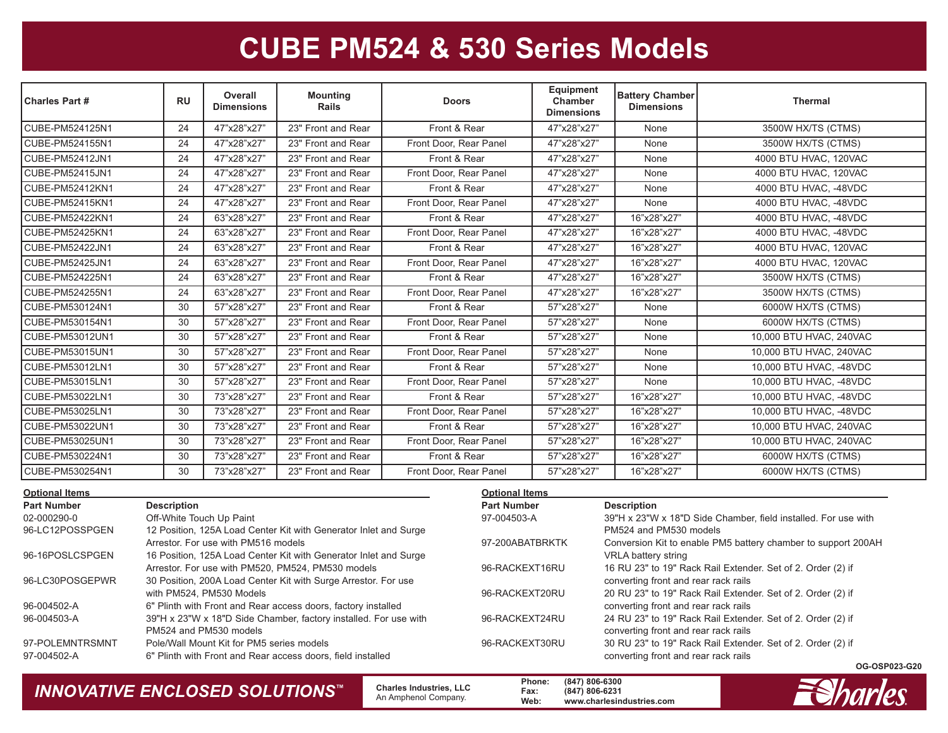## **CUBE PM524 & 530 Series Models**

| <b>Charles Part #</b> | <b>RU</b> | Overall<br><b>Dimensions</b> | <b>Mounting</b><br>Rails | <b>Doors</b>           | Equipment<br>Chamber<br><b>Dimensions</b> | <b>Battery Chamber</b><br><b>Dimensions</b> | <b>Thermal</b>          |
|-----------------------|-----------|------------------------------|--------------------------|------------------------|-------------------------------------------|---------------------------------------------|-------------------------|
| CUBE-PM524125N1       | 24        | 47"x28"x27"                  | 23" Front and Rear       | Front & Rear           | 47"x28"x27"                               | None                                        | 3500W HX/TS (CTMS)      |
| CUBE-PM524155N1       | 24        | 47"x28"x27"                  | 23" Front and Rear       | Front Door, Rear Panel | 47"x28"x27"                               | None                                        | 3500W HX/TS (CTMS)      |
| CUBE-PM52412JN1       | 24        | 47"x28"x27"                  | 23" Front and Rear       | Front & Rear           | 47"x28"x27"                               | None                                        | 4000 BTU HVAC, 120VAC   |
| CUBE-PM52415JN1       | 24        | 47"x28"x27"                  | 23" Front and Rear       | Front Door, Rear Panel | 47"x28"x27"                               | None                                        | 4000 BTU HVAC, 120VAC   |
| CUBE-PM52412KN1       | 24        | 47"x28"x27"                  | 23" Front and Rear       | Front & Rear           | 47"x28"x27"                               | None                                        | 4000 BTU HVAC, -48VDC   |
| CUBE-PM52415KN1       | 24        | 47"x28"x27"                  | 23" Front and Rear       | Front Door, Rear Panel | 47"x28"x27"                               | None                                        | 4000 BTU HVAC, -48VDC   |
| CUBE-PM52422KN1       | 24        | 63"x28"x27"                  | 23" Front and Rear       | Front & Rear           | 47"x28"x27"                               | 16"x28"x27"                                 | 4000 BTU HVAC, -48VDC   |
| CUBE-PM52425KN1       | 24        | 63"x28"x27"                  | 23" Front and Rear       | Front Door, Rear Panel | 47"x28"x27"                               | 16"x28"x27"                                 | 4000 BTU HVAC, -48VDC   |
| CUBE-PM52422JN1       | 24        | 63"x28"x27"                  | 23" Front and Rear       | Front & Rear           | 47"x28"x27"                               | 16"x28"x27"                                 | 4000 BTU HVAC, 120VAC   |
| CUBE-PM52425JN1       | 24        | 63"x28"x27"                  | 23" Front and Rear       | Front Door, Rear Panel | 47"x28"x27"                               | 16"x28"x27"                                 | 4000 BTU HVAC, 120VAC   |
| CUBE-PM524225N1       | 24        | 63"x28"x27"                  | 23" Front and Rear       | Front & Rear           | 47"x28"x27"                               | 16"x28"x27"                                 | 3500W HX/TS (CTMS)      |
| CUBE-PM524255N1       | 24        | 63"x28"x27"                  | 23" Front and Rear       | Front Door, Rear Panel | 47"x28"x27"                               | 16"x28"x27"                                 | 3500W HX/TS (CTMS)      |
| CUBE-PM530124N1       | 30        | 57"x28"x27"                  | 23" Front and Rear       | Front & Rear           | 57"x28"x27"                               | None                                        | 6000W HX/TS (CTMS)      |
| CUBE-PM530154N1       | 30        | 57"x28"x27"                  | 23" Front and Rear       | Front Door, Rear Panel | 57"x28"x27"                               | None                                        | 6000W HX/TS (CTMS)      |
| CUBE-PM53012UN1       | 30        | 57"x28"x27"                  | 23" Front and Rear       | Front & Rear           | 57"x28"x27"                               | None                                        | 10,000 BTU HVAC, 240VAC |
| CUBE-PM53015UN1       | 30        | 57"x28"x27"                  | 23" Front and Rear       | Front Door, Rear Panel | 57"x28"x27"                               | None                                        | 10,000 BTU HVAC, 240VAC |
| CUBE-PM53012LN1       | 30        | 57"x28"x27"                  | 23" Front and Rear       | Front & Rear           | 57"x28"x27"                               | None                                        | 10,000 BTU HVAC, -48VDC |
| CUBE-PM53015LN1       | 30        | 57"x28"x27"                  | 23" Front and Rear       | Front Door, Rear Panel | 57"x28"x27"                               | None                                        | 10,000 BTU HVAC, -48VDC |
| CUBE-PM53022LN1       | 30        | 73"x28"x27"                  | 23" Front and Rear       | Front & Rear           | 57"x28"x27"                               | 16"x28"x27"                                 | 10,000 BTU HVAC, -48VDC |
| CUBE-PM53025LN1       | 30        | 73"x28"x27"                  | 23" Front and Rear       | Front Door, Rear Panel | 57"x28"x27"                               | 16"x28"x27"                                 | 10,000 BTU HVAC, -48VDC |
| CUBE-PM53022UN1       | 30        | 73"x28"x27"                  | 23" Front and Rear       | Front & Rear           | 57"x28"x27"                               | 16"x28"x27"                                 | 10,000 BTU HVAC, 240VAC |
| CUBE-PM53025UN1       | 30        | 73"x28"x27"                  | 23" Front and Rear       | Front Door, Rear Panel | 57"x28"x27"                               | 16"x28"x27"                                 | 10,000 BTU HVAC, 240VAC |
| CUBE-PM530224N1       | 30        | 73"x28"x27"                  | 23" Front and Rear       | Front & Rear           | 57"x28"x27"                               | 16"x28"x27"                                 | 6000W HX/TS (CTMS)      |
| CUBE-PM530254N1       | 30        | 73"x28"x27"                  | 23" Front and Rear       | Front Door, Rear Panel | 57"x28"x27"                               | 16"x28"x27"                                 | 6000W HX/TS (CTMS)      |

| <b>Optional Items</b> |                                                                  | <b>Optional Items</b> |                                                                |
|-----------------------|------------------------------------------------------------------|-----------------------|----------------------------------------------------------------|
| <b>Part Number</b>    | <b>Description</b>                                               | <b>Part Number</b>    | <b>Description</b>                                             |
| 02-000290-0           | Off-White Touch Up Paint                                         | 97-004503-A           | 39"H x 23"W x 18"D Side Chamber, field installed. For use with |
| 96-LC12POSSPGEN       | 12 Position, 125A Load Center Kit with Generator Inlet and Surge |                       | PM524 and PM530 models                                         |
|                       | Arrestor. For use with PM516 models                              | 97-200ABATBRKTK       | Conversion Kit to enable PM5 battery chamber to support 200AH  |
| 96-16POSLCSPGEN       | 16 Position, 125A Load Center Kit with Generator Inlet and Surge |                       | VRLA battery string                                            |
|                       | Arrestor. For use with PM520, PM524, PM530 models                | 96-RACKEXT16RU        | 16 RU 23" to 19" Rack Rail Extender. Set of 2. Order (2) if    |
| 96-LC30POSGEPWR       | 30 Position, 200A Load Center Kit with Surge Arrestor. For use   |                       | converting front and rear rack rails                           |
|                       | with PM524, PM530 Models                                         | 96-RACKEXT20RU        | 20 RU 23" to 19" Rack Rail Extender. Set of 2. Order (2) if    |
| 96-004502-A           | 6" Plinth with Front and Rear access doors, factory installed    |                       | converting front and rear rack rails                           |
| 96-004503-A           | 39"H x 23"W x 18"D Side Chamber, factory installed. For use with | 96-RACKEXT24RU        | 24 RU 23" to 19" Rack Rail Extender. Set of 2. Order (2) if    |
|                       | PM524 and PM530 models                                           |                       | converting front and rear rack rails                           |
| 97-POLEMNTRSMNT       | Pole/Wall Mount Kit for PM5 series models                        | 96-RACKEXT30RU        | 30 RU 23" to 19" Rack Rail Extender. Set of 2. Order (2) if    |
| 97-004502-A           | 6" Plinth with Front and Rear access doors, field installed      |                       | converting front and rear rack rails                           |
|                       |                                                                  |                       | OG-OSP023-G20                                                  |

#### *INNOVATIVE ENCLOSED SOLUTIONS ™*

 **Charles Industries, LLC** An Amphenol Company.

**Phone: (847) 806-6300 Fax: (847) 806-6231 Web: www.charlesindustries.com**

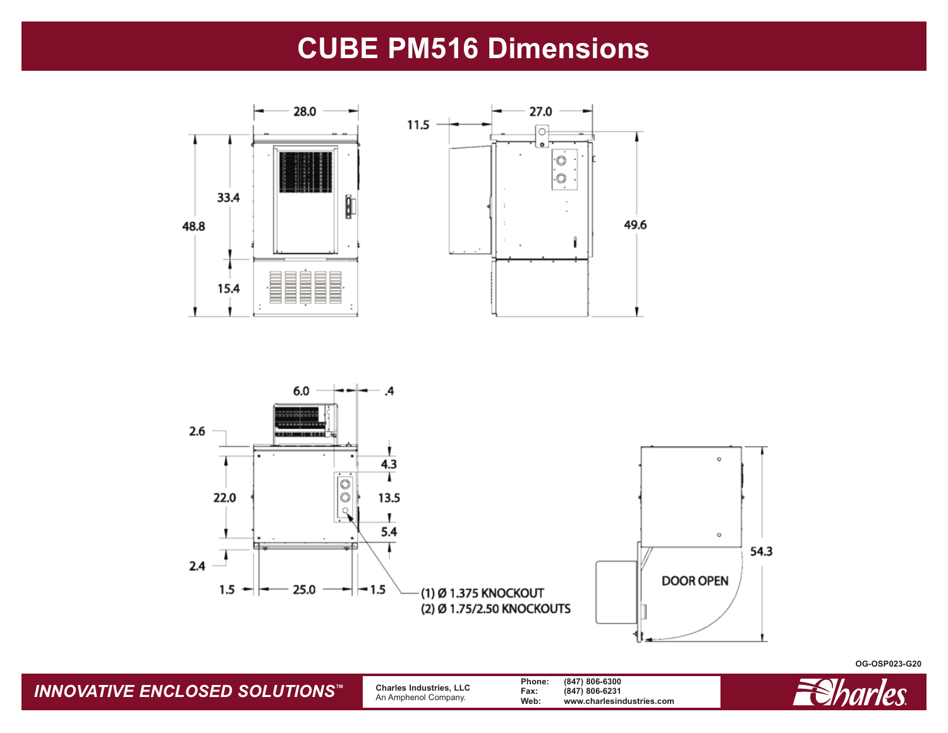### **CUBE PM516 Dimensions**





**OG-OSP023-G20**

*INNOVATIVE ENCLOSED SOLUTIONS™* **Charles Industries, LLC** An Amphenol Company. **Phone: (847) 806-6300 Fax: (847) 806-6231 Web: www.charlesindustries.com**

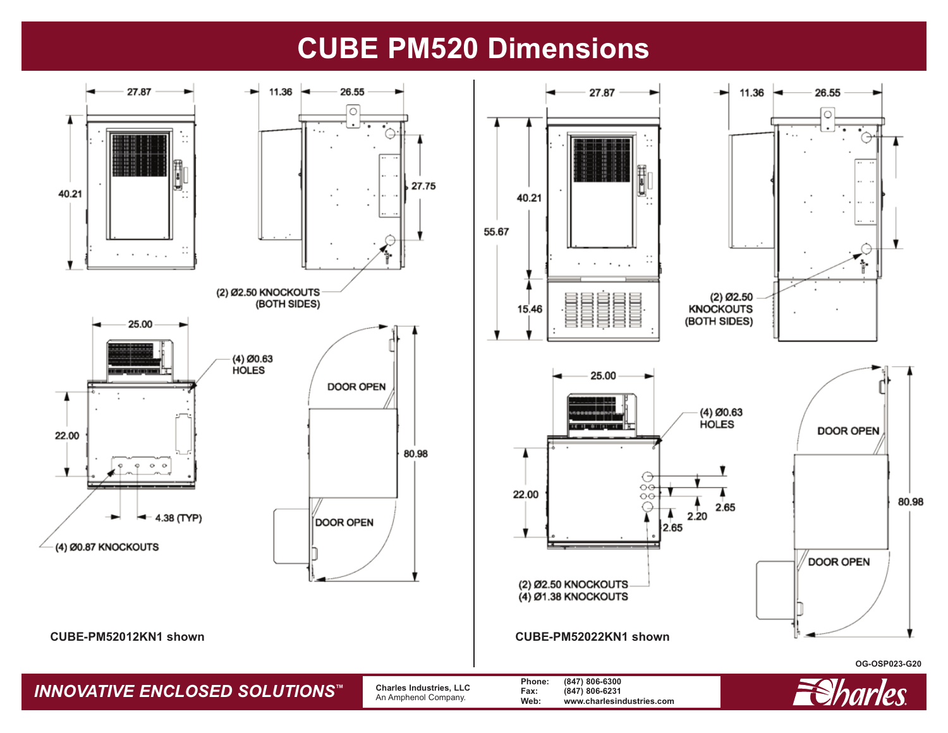## **CUBE PM520 Dimensions**

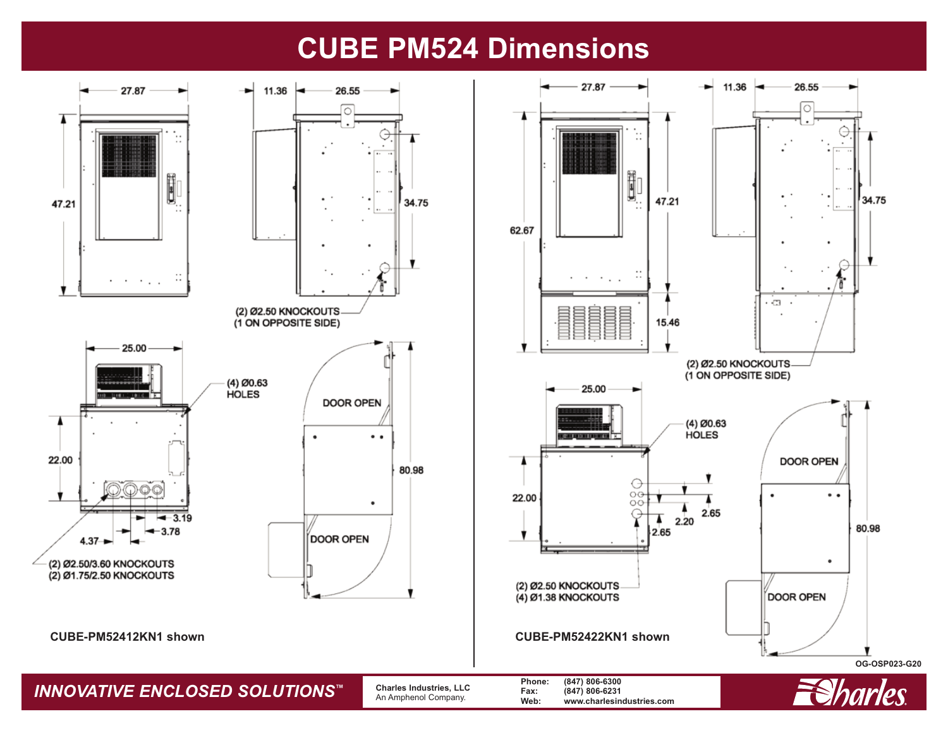### **CUBE PM524 Dimensions**